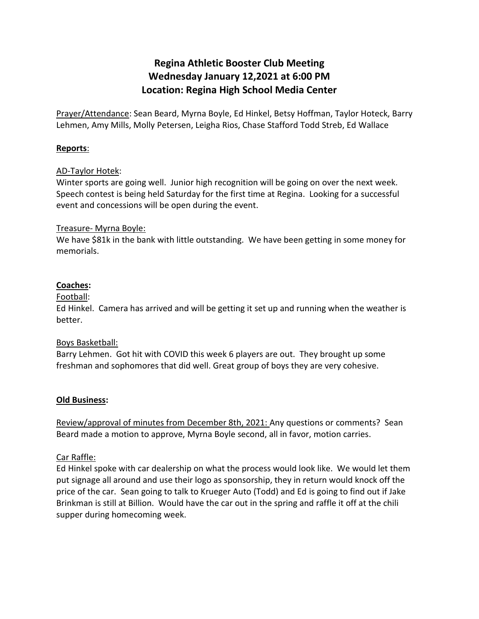# **Regina Athletic Booster Club Meeting Wednesday January 12,2021 at 6:00 PM Location: Regina High School Media Center**

Prayer/Attendance: Sean Beard, Myrna Boyle, Ed Hinkel, Betsy Hoffman, Taylor Hoteck, Barry Lehmen, Amy Mills, Molly Petersen, Leigha Rios, Chase Stafford Todd Streb, Ed Wallace

#### **Reports**:

#### AD-Taylor Hotek:

Winter sports are going well. Junior high recognition will be going on over the next week. Speech contest is being held Saturday for the first time at Regina. Looking for a successful event and concessions will be open during the event.

#### Treasure- Myrna Boyle:

We have \$81k in the bank with little outstanding. We have been getting in some money for memorials.

## **Coaches:**

#### Football:

Ed Hinkel. Camera has arrived and will be getting it set up and running when the weather is better.

#### Boys Basketball:

Barry Lehmen. Got hit with COVID this week 6 players are out. They brought up some freshman and sophomores that did well. Great group of boys they are very cohesive.

#### **Old Business:**

Review/approval of minutes from December 8th, 2021: Any questions or comments? Sean Beard made a motion to approve, Myrna Boyle second, all in favor, motion carries.

## Car Raffle:

Ed Hinkel spoke with car dealership on what the process would look like. We would let them put signage all around and use their logo as sponsorship, they in return would knock off the price of the car. Sean going to talk to Krueger Auto (Todd) and Ed is going to find out if Jake Brinkman is still at Billion. Would have the car out in the spring and raffle it off at the chili supper during homecoming week.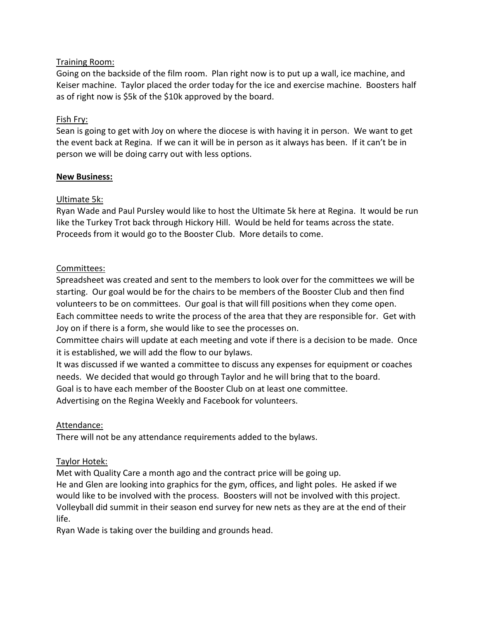## Training Room:

Going on the backside of the film room. Plan right now is to put up a wall, ice machine, and Keiser machine. Taylor placed the order today for the ice and exercise machine. Boosters half as of right now is \$5k of the \$10k approved by the board.

# Fish Fry:

Sean is going to get with Joy on where the diocese is with having it in person. We want to get the event back at Regina. If we can it will be in person as it always has been. If it can't be in person we will be doing carry out with less options.

## **New Business:**

# Ultimate 5k:

Ryan Wade and Paul Pursley would like to host the Ultimate 5k here at Regina. It would be run like the Turkey Trot back through Hickory Hill. Would be held for teams across the state. Proceeds from it would go to the Booster Club. More details to come.

# Committees:

Spreadsheet was created and sent to the members to look over for the committees we will be starting. Our goal would be for the chairs to be members of the Booster Club and then find volunteers to be on committees. Our goal is that will fill positions when they come open. Each committee needs to write the process of the area that they are responsible for. Get with Joy on if there is a form, she would like to see the processes on.

Committee chairs will update at each meeting and vote if there is a decision to be made. Once it is established, we will add the flow to our bylaws.

It was discussed if we wanted a committee to discuss any expenses for equipment or coaches needs. We decided that would go through Taylor and he will bring that to the board. Goal is to have each member of the Booster Club on at least one committee. Advertising on the Regina Weekly and Facebook for volunteers.

# Attendance:

There will not be any attendance requirements added to the bylaws.

## Taylor Hotek:

Met with Quality Care a month ago and the contract price will be going up.

He and Glen are looking into graphics for the gym, offices, and light poles. He asked if we would like to be involved with the process. Boosters will not be involved with this project. Volleyball did summit in their season end survey for new nets as they are at the end of their life.

Ryan Wade is taking over the building and grounds head.